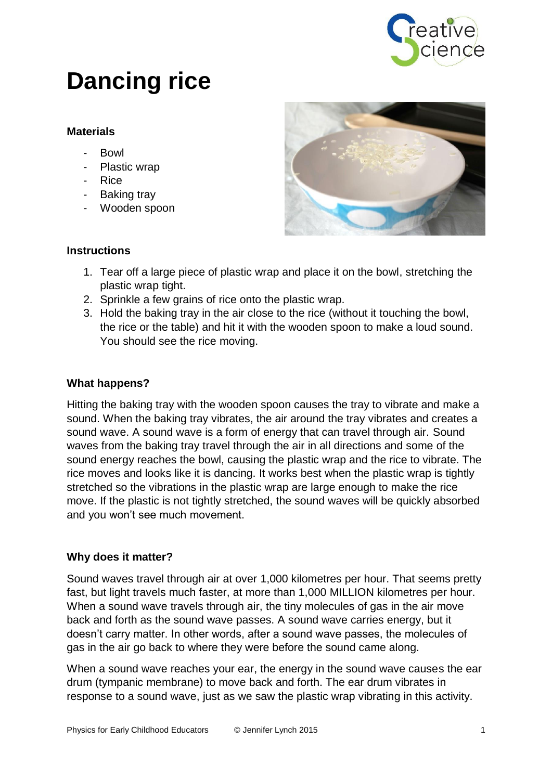

# **Dancing rice**

### **Materials**

- Bowl
- Plastic wrap
- Rice
- Baking tray
- Wooden spoon



#### **Instructions**

- 1. Tear off a large piece of plastic wrap and place it on the bowl, stretching the plastic wrap tight.
- 2. Sprinkle a few grains of rice onto the plastic wrap.
- 3. Hold the baking tray in the air close to the rice (without it touching the bowl, the rice or the table) and hit it with the wooden spoon to make a loud sound. You should see the rice moving.

#### **What happens?**

Hitting the baking tray with the wooden spoon causes the tray to vibrate and make a sound. When the baking tray vibrates, the air around the tray vibrates and creates a sound wave. A sound wave is a form of energy that can travel through air. Sound waves from the baking tray travel through the air in all directions and some of the sound energy reaches the bowl, causing the plastic wrap and the rice to vibrate. The rice moves and looks like it is dancing. It works best when the plastic wrap is tightly stretched so the vibrations in the plastic wrap are large enough to make the rice move. If the plastic is not tightly stretched, the sound waves will be quickly absorbed and you won't see much movement.

#### **Why does it matter?**

Sound waves travel through air at over 1,000 kilometres per hour. That seems pretty fast, but light travels much faster, at more than 1,000 MILLION kilometres per hour. When a sound wave travels through air, the tiny molecules of gas in the air move back and forth as the sound wave passes. A sound wave carries energy, but it doesn't carry matter. In other words, after a sound wave passes, the molecules of gas in the air go back to where they were before the sound came along.

When a sound wave reaches your ear, the energy in the sound wave causes the ear drum (tympanic membrane) to move back and forth. The ear drum vibrates in response to a sound wave, just as we saw the plastic wrap vibrating in this activity.